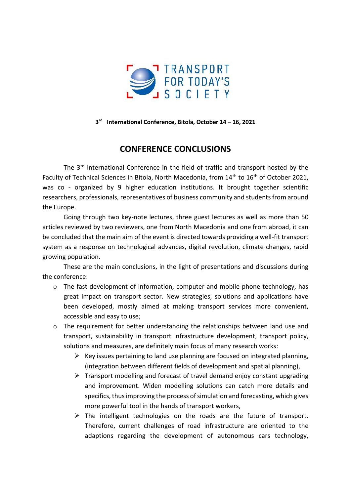

**3 rd International Conference, Bitola, October 14 – 16, 2021**

## **CONFERENCE CONCLUSIONS**

The 3rd International Conference in the field of traffic and transport hosted by the Faculty of Technical Sciences in Bitola, North Macedonia, from 14<sup>th</sup> to 16<sup>th</sup> of October 2021, was co - organized by 9 higher education institutions. It brought together scientific researchers, professionals, representatives of business community and students from around the Europe.

Going through two key-note lectures, three guest lectures as well as more than 50 articles reviewed by two reviewers, one from North Macedonia and one from abroad, it can be concluded that the main aim of the event is directed towards providing a well-fit transport system as a response on technological advances, digital revolution, climate changes, rapid growing population.

These are the main conclusions, in the light of presentations and discussions during the conference:

- o The fast development of information, computer and mobile phone technology, has great impact on transport sector. New strategies, solutions and applications have been developed, mostly aimed at making transport services more convenient, accessible and easy to use;
- o The requirement for better understanding the relationships between land use and transport, sustainability in transport infrastructure development, transport policy, solutions and measures, are definitely main focus of many research works:
	- $\triangleright$  Key issues pertaining to land use planning are focused on integrated planning, (integration between different fields of development and spatial planning),
	- $\triangleright$  Transport modelling and forecast of travel demand enjoy constant upgrading and improvement. Widen modelling solutions can catch more details and specifics, thus improving the process of simulation and forecasting, which gives more powerful tool in the hands of transport workers,
	- ➢ The intelligent technologies on the roads are the future of transport. Therefore, current challenges of road infrastructure are oriented to the adaptions regarding the development of autonomous cars technology,